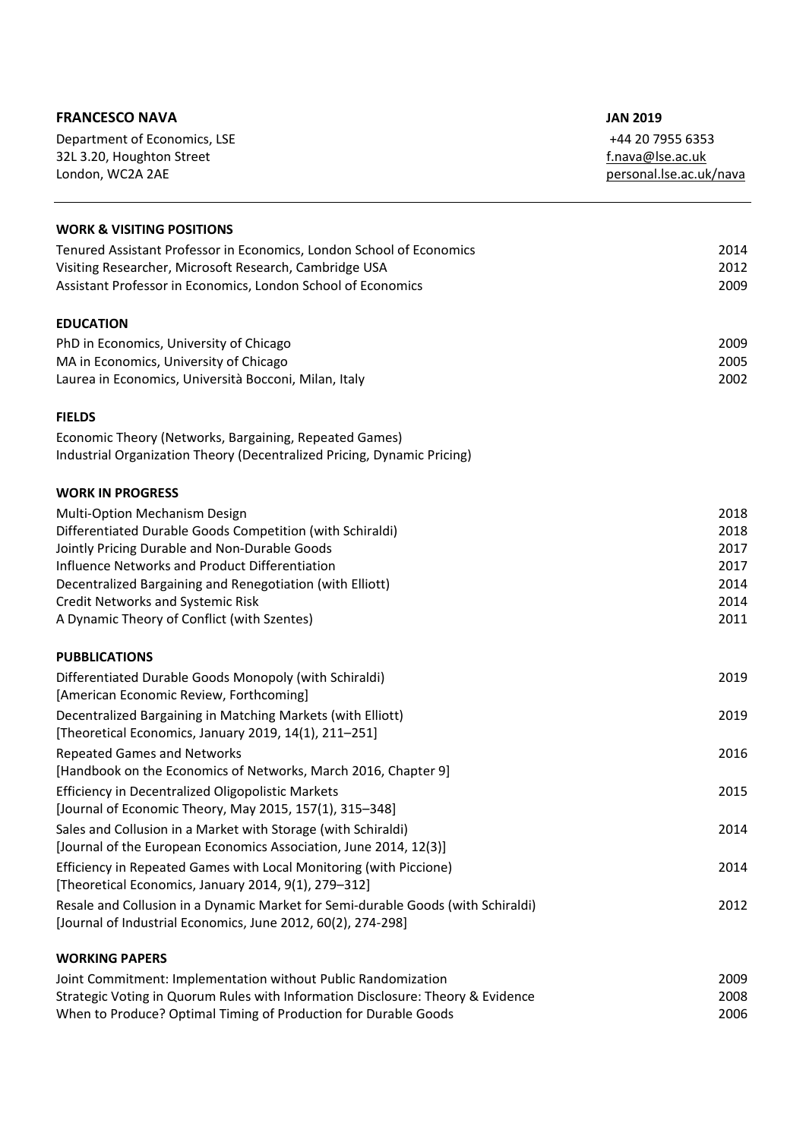| Department of Economics, LSE<br>+44 20 7955 6353<br>32L 3.20, Houghton Street<br>f.nava@lse.ac.uk<br>London, WC2A 2AE<br>personal.lse.ac.uk/nava<br><b>WORK &amp; VISITING POSITIONS</b><br>Tenured Assistant Professor in Economics, London School of Economics<br>Visiting Researcher, Microsoft Research, Cambridge USA<br>Assistant Professor in Economics, London School of Economics<br><b>EDUCATION</b><br>PhD in Economics, University of Chicago<br>MA in Economics, University of Chicago<br>2005<br>2002<br>Laurea in Economics, Università Bocconi, Milan, Italy<br><b>FIELDS</b><br>Economic Theory (Networks, Bargaining, Repeated Games)<br>Industrial Organization Theory (Decentralized Pricing, Dynamic Pricing)<br><b>WORK IN PROGRESS</b><br>2018<br>Multi-Option Mechanism Design<br>Differentiated Durable Goods Competition (with Schiraldi)<br>2018<br>Jointly Pricing Durable and Non-Durable Goods<br>2017<br>Influence Networks and Product Differentiation<br>2017<br>Decentralized Bargaining and Renegotiation (with Elliott)<br><b>Credit Networks and Systemic Risk</b><br>A Dynamic Theory of Conflict (with Szentes)<br><b>PUBBLICATIONS</b> | <b>FRANCESCO NAVA</b>                                  | <b>JAN 2019</b> |
|--------------------------------------------------------------------------------------------------------------------------------------------------------------------------------------------------------------------------------------------------------------------------------------------------------------------------------------------------------------------------------------------------------------------------------------------------------------------------------------------------------------------------------------------------------------------------------------------------------------------------------------------------------------------------------------------------------------------------------------------------------------------------------------------------------------------------------------------------------------------------------------------------------------------------------------------------------------------------------------------------------------------------------------------------------------------------------------------------------------------------------------------------------------------------------|--------------------------------------------------------|-----------------|
|                                                                                                                                                                                                                                                                                                                                                                                                                                                                                                                                                                                                                                                                                                                                                                                                                                                                                                                                                                                                                                                                                                                                                                                |                                                        |                 |
|                                                                                                                                                                                                                                                                                                                                                                                                                                                                                                                                                                                                                                                                                                                                                                                                                                                                                                                                                                                                                                                                                                                                                                                |                                                        |                 |
|                                                                                                                                                                                                                                                                                                                                                                                                                                                                                                                                                                                                                                                                                                                                                                                                                                                                                                                                                                                                                                                                                                                                                                                |                                                        |                 |
|                                                                                                                                                                                                                                                                                                                                                                                                                                                                                                                                                                                                                                                                                                                                                                                                                                                                                                                                                                                                                                                                                                                                                                                |                                                        |                 |
|                                                                                                                                                                                                                                                                                                                                                                                                                                                                                                                                                                                                                                                                                                                                                                                                                                                                                                                                                                                                                                                                                                                                                                                |                                                        | 2014            |
|                                                                                                                                                                                                                                                                                                                                                                                                                                                                                                                                                                                                                                                                                                                                                                                                                                                                                                                                                                                                                                                                                                                                                                                |                                                        | 2012            |
|                                                                                                                                                                                                                                                                                                                                                                                                                                                                                                                                                                                                                                                                                                                                                                                                                                                                                                                                                                                                                                                                                                                                                                                |                                                        | 2009            |
|                                                                                                                                                                                                                                                                                                                                                                                                                                                                                                                                                                                                                                                                                                                                                                                                                                                                                                                                                                                                                                                                                                                                                                                |                                                        |                 |
|                                                                                                                                                                                                                                                                                                                                                                                                                                                                                                                                                                                                                                                                                                                                                                                                                                                                                                                                                                                                                                                                                                                                                                                |                                                        | 2009            |
|                                                                                                                                                                                                                                                                                                                                                                                                                                                                                                                                                                                                                                                                                                                                                                                                                                                                                                                                                                                                                                                                                                                                                                                |                                                        |                 |
|                                                                                                                                                                                                                                                                                                                                                                                                                                                                                                                                                                                                                                                                                                                                                                                                                                                                                                                                                                                                                                                                                                                                                                                |                                                        |                 |
|                                                                                                                                                                                                                                                                                                                                                                                                                                                                                                                                                                                                                                                                                                                                                                                                                                                                                                                                                                                                                                                                                                                                                                                |                                                        |                 |
|                                                                                                                                                                                                                                                                                                                                                                                                                                                                                                                                                                                                                                                                                                                                                                                                                                                                                                                                                                                                                                                                                                                                                                                |                                                        |                 |
|                                                                                                                                                                                                                                                                                                                                                                                                                                                                                                                                                                                                                                                                                                                                                                                                                                                                                                                                                                                                                                                                                                                                                                                |                                                        |                 |
|                                                                                                                                                                                                                                                                                                                                                                                                                                                                                                                                                                                                                                                                                                                                                                                                                                                                                                                                                                                                                                                                                                                                                                                |                                                        |                 |
|                                                                                                                                                                                                                                                                                                                                                                                                                                                                                                                                                                                                                                                                                                                                                                                                                                                                                                                                                                                                                                                                                                                                                                                |                                                        |                 |
|                                                                                                                                                                                                                                                                                                                                                                                                                                                                                                                                                                                                                                                                                                                                                                                                                                                                                                                                                                                                                                                                                                                                                                                |                                                        |                 |
|                                                                                                                                                                                                                                                                                                                                                                                                                                                                                                                                                                                                                                                                                                                                                                                                                                                                                                                                                                                                                                                                                                                                                                                |                                                        |                 |
|                                                                                                                                                                                                                                                                                                                                                                                                                                                                                                                                                                                                                                                                                                                                                                                                                                                                                                                                                                                                                                                                                                                                                                                |                                                        | 2014            |
|                                                                                                                                                                                                                                                                                                                                                                                                                                                                                                                                                                                                                                                                                                                                                                                                                                                                                                                                                                                                                                                                                                                                                                                |                                                        | 2014            |
|                                                                                                                                                                                                                                                                                                                                                                                                                                                                                                                                                                                                                                                                                                                                                                                                                                                                                                                                                                                                                                                                                                                                                                                |                                                        | 2011            |
|                                                                                                                                                                                                                                                                                                                                                                                                                                                                                                                                                                                                                                                                                                                                                                                                                                                                                                                                                                                                                                                                                                                                                                                |                                                        |                 |
|                                                                                                                                                                                                                                                                                                                                                                                                                                                                                                                                                                                                                                                                                                                                                                                                                                                                                                                                                                                                                                                                                                                                                                                | Differentiated Durable Goods Monopoly (with Schiraldi) | 2019            |
| [American Economic Review, Forthcoming]                                                                                                                                                                                                                                                                                                                                                                                                                                                                                                                                                                                                                                                                                                                                                                                                                                                                                                                                                                                                                                                                                                                                        |                                                        |                 |
| Decentralized Bargaining in Matching Markets (with Elliott)                                                                                                                                                                                                                                                                                                                                                                                                                                                                                                                                                                                                                                                                                                                                                                                                                                                                                                                                                                                                                                                                                                                    |                                                        | 2019            |
| [Theoretical Economics, January 2019, 14(1), 211-251]                                                                                                                                                                                                                                                                                                                                                                                                                                                                                                                                                                                                                                                                                                                                                                                                                                                                                                                                                                                                                                                                                                                          |                                                        |                 |
| <b>Repeated Games and Networks</b><br>[Handbook on the Economics of Networks, March 2016, Chapter 9]                                                                                                                                                                                                                                                                                                                                                                                                                                                                                                                                                                                                                                                                                                                                                                                                                                                                                                                                                                                                                                                                           |                                                        | 2016            |
| <b>Efficiency in Decentralized Oligopolistic Markets</b>                                                                                                                                                                                                                                                                                                                                                                                                                                                                                                                                                                                                                                                                                                                                                                                                                                                                                                                                                                                                                                                                                                                       |                                                        | 2015            |
| [Journal of Economic Theory, May 2015, 157(1), 315-348]                                                                                                                                                                                                                                                                                                                                                                                                                                                                                                                                                                                                                                                                                                                                                                                                                                                                                                                                                                                                                                                                                                                        |                                                        |                 |
| Sales and Collusion in a Market with Storage (with Schiraldi)                                                                                                                                                                                                                                                                                                                                                                                                                                                                                                                                                                                                                                                                                                                                                                                                                                                                                                                                                                                                                                                                                                                  |                                                        | 2014            |
| [Journal of the European Economics Association, June 2014, 12(3)]                                                                                                                                                                                                                                                                                                                                                                                                                                                                                                                                                                                                                                                                                                                                                                                                                                                                                                                                                                                                                                                                                                              |                                                        |                 |
| Efficiency in Repeated Games with Local Monitoring (with Piccione)                                                                                                                                                                                                                                                                                                                                                                                                                                                                                                                                                                                                                                                                                                                                                                                                                                                                                                                                                                                                                                                                                                             |                                                        | 2014            |
| [Theoretical Economics, January 2014, 9(1), 279-312]                                                                                                                                                                                                                                                                                                                                                                                                                                                                                                                                                                                                                                                                                                                                                                                                                                                                                                                                                                                                                                                                                                                           |                                                        |                 |
| Resale and Collusion in a Dynamic Market for Semi-durable Goods (with Schiraldi)                                                                                                                                                                                                                                                                                                                                                                                                                                                                                                                                                                                                                                                                                                                                                                                                                                                                                                                                                                                                                                                                                               |                                                        | 2012            |
| [Journal of Industrial Economics, June 2012, 60(2), 274-298]                                                                                                                                                                                                                                                                                                                                                                                                                                                                                                                                                                                                                                                                                                                                                                                                                                                                                                                                                                                                                                                                                                                   |                                                        |                 |
| <b>WORKING PAPERS</b>                                                                                                                                                                                                                                                                                                                                                                                                                                                                                                                                                                                                                                                                                                                                                                                                                                                                                                                                                                                                                                                                                                                                                          |                                                        |                 |
| Joint Commitment: Implementation without Public Randomization<br>Strategic Voting in Quorum Rules with Information Disclosure: Theory & Evidence                                                                                                                                                                                                                                                                                                                                                                                                                                                                                                                                                                                                                                                                                                                                                                                                                                                                                                                                                                                                                               |                                                        | 2009<br>2008    |
| When to Produce? Optimal Timing of Production for Durable Goods                                                                                                                                                                                                                                                                                                                                                                                                                                                                                                                                                                                                                                                                                                                                                                                                                                                                                                                                                                                                                                                                                                                |                                                        | 2006            |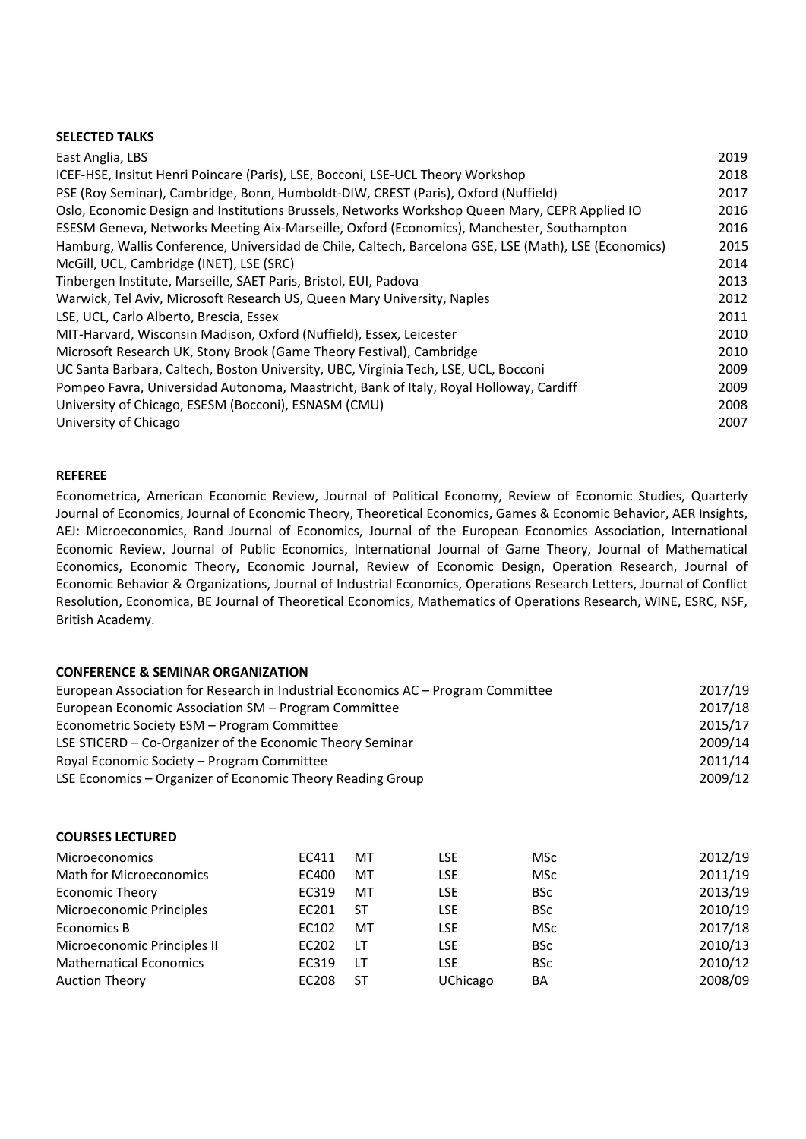## **SELECTED TALKS**

| East Anglia, LBS                                                                                      | 2019 |
|-------------------------------------------------------------------------------------------------------|------|
| ICEF-HSE, Insitut Henri Poincare (Paris), LSE, Bocconi, LSE-UCL Theory Workshop                       | 2018 |
| PSE (Roy Seminar), Cambridge, Bonn, Humboldt-DIW, CREST (Paris), Oxford (Nuffield)                    | 2017 |
| Oslo, Economic Design and Institutions Brussels, Networks Workshop Queen Mary, CEPR Applied IO        | 2016 |
| ESESM Geneva, Networks Meeting Aix-Marseille, Oxford (Economics), Manchester, Southampton             | 2016 |
| Hamburg, Wallis Conference, Universidad de Chile, Caltech, Barcelona GSE, LSE (Math), LSE (Economics) | 2015 |
| McGill, UCL, Cambridge (INET), LSE (SRC)                                                              | 2014 |
| Tinbergen Institute, Marseille, SAET Paris, Bristol, EUI, Padova                                      | 2013 |
| Warwick, Tel Aviv, Microsoft Research US, Queen Mary University, Naples                               | 2012 |
| LSE, UCL, Carlo Alberto, Brescia, Essex                                                               | 2011 |
| MIT-Harvard, Wisconsin Madison, Oxford (Nuffield), Essex, Leicester                                   | 2010 |
| Microsoft Research UK, Stony Brook (Game Theory Festival), Cambridge                                  | 2010 |
| UC Santa Barbara, Caltech, Boston University, UBC, Virginia Tech, LSE, UCL, Bocconi                   | 2009 |
| Pompeo Favra, Universidad Autonoma, Maastricht, Bank of Italy, Royal Holloway, Cardiff                | 2009 |
| University of Chicago, ESESM (Bocconi), ESNASM (CMU)                                                  | 2008 |
| University of Chicago                                                                                 | 2007 |

### **REFEREE**

Econometrica, American Economic Review, Journal of Political Economy, Review of Economic Studies, Quarterly Journal of Economics, Journal of Economic Theory, Theoretical Economics, Games & Economic Behavior, AER Insights, AEJ: Microeconomics, Rand Journal of Economics, Journal of the European Economics Association, International Economic Review, Journal of Public Economics, International Journal of Game Theory, Journal of Mathematical Economics, Economic Theory, Economic Journal, Review of Economic Design, Operation Research, Journal of Economic Behavior & Organizations, Journal of Industrial Economics, Operations Research Letters, Journal of Conflict Resolution, Economica, BE Journal of Theoretical Economics, Mathematics of Operations Research, WINE, ESRC, NSF, British Academy.

# **CONFERENCE & SEMINAR ORGANIZATION**

| European Association for Research in Industrial Economics AC – Program Committee | 2017/19 |
|----------------------------------------------------------------------------------|---------|
| European Economic Association SM - Program Committee                             | 2017/18 |
| Econometric Society ESM – Program Committee                                      | 2015/17 |
| LSE STICERD – Co-Organizer of the Economic Theory Seminar                        | 2009/14 |
| Royal Economic Society – Program Committee                                       | 2011/14 |
| LSE Economics – Organizer of Economic Theory Reading Group                       | 2009/12 |

| <b>COURSES LECTURED</b>        |       |    |                 |            |         |
|--------------------------------|-------|----|-----------------|------------|---------|
| <b>Microeconomics</b>          | EC411 | МT | <b>LSE</b>      | <b>MSc</b> | 2012/19 |
| <b>Math for Microeconomics</b> | EC400 | МT | <b>LSE</b>      | <b>MSc</b> | 2011/19 |
| <b>Economic Theory</b>         | EC319 | МT | <b>LSE</b>      | <b>BSc</b> | 2013/19 |
| Microeconomic Principles       | EC201 | ST | <b>LSE</b>      | <b>BSc</b> | 2010/19 |
| Economics B                    | EC102 | МT | <b>LSE</b>      | <b>MSc</b> | 2017/18 |
| Microeconomic Principles II    | EC202 | LT | <b>LSE</b>      | <b>BSc</b> | 2010/13 |
| <b>Mathematical Economics</b>  | EC319 | LT | <b>LSE</b>      | <b>BSc</b> | 2010/12 |
| <b>Auction Theory</b>          | EC208 | SТ | <b>UChicago</b> | BA         | 2008/09 |